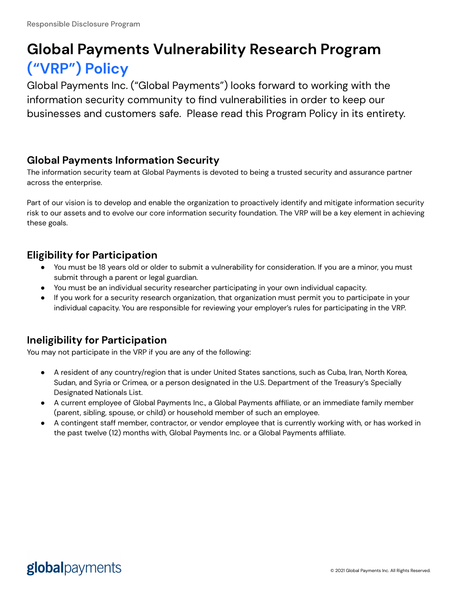# **Global Payments Vulnerability Research Program ("VRP") Policy**

Global Payments Inc. ("Global Payments") looks forward to working with the information security community to find vulnerabilities in order to keep our businesses and customers safe. Please read this Program Policy in its entirety.

## **Global Payments Information Security**

The information security team at Global Payments is devoted to being a trusted security and assurance partner across the enterprise.

Part of our vision is to develop and enable the organization to proactively identify and mitigate information security risk to our assets and to evolve our core information security foundation. The VRP will be a key element in achieving these goals.

## **Eligibility for Participation**

- You must be 18 years old or older to submit a vulnerability for consideration. If you are a minor, you must submit through a parent or legal guardian.
- You must be an individual security researcher participating in your own individual capacity.
- If you work for a security research organization, that organization must permit you to participate in your individual capacity. You are responsible for reviewing your employer's rules for participating in the VRP.

## **Ineligibility for Participation**

You may not participate in the VRP if you are any of the following:

- A resident of any country/region that is under United States sanctions, such as Cuba, Iran, North Korea, Sudan, and Syria or Crimea, or a person designated in the U.S. Department of the Treasury's Specially Designated Nationals List.
- A current employee of Global Payments Inc., a Global Payments affiliate, or an immediate family member (parent, sibling, spouse, or child) or household member of such an employee.
- A contingent staff member, contractor, or vendor employee that is currently working with, or has worked in the past twelve (12) months with, Global Payments Inc. or a Global Payments affiliate.

## globalpayments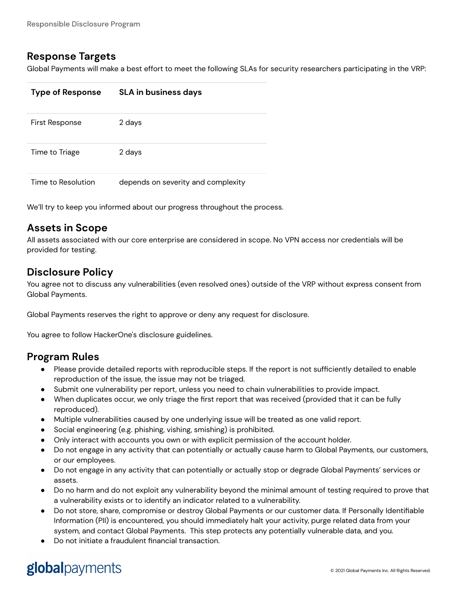#### **Response Targets**

Global Payments will make a best effort to meet the following SLAs for security researchers participating in the VRP:

| <b>Type of Response</b> | <b>SLA in business days</b>        |
|-------------------------|------------------------------------|
| First Response          | 2 days                             |
| Time to Triage          | 2 days                             |
| Time to Resolution      | depends on severity and complexity |

We'll try to keep you informed about our progress throughout the process.

## **Assets in Scope**

All assets associated with our core enterprise are considered in scope. No VPN access nor credentials will be provided for testing.

#### **Disclosure Policy**

You agree not to discuss any vulnerabilities (even resolved ones) outside of the VRP without express consent from Global Payments.

Global Payments reserves the right to approve or deny any request for disclosure.

You agree to follow HackerOne's [disclosure](https://www.hackerone.com/disclosure-guidelines) guidelines.

#### **Program Rules**

- Please provide detailed reports with reproducible steps. If the report is not sufficiently detailed to enable reproduction of the issue, the issue may not be triaged.
- Submit one vulnerability per report, unless you need to chain vulnerabilities to provide impact.
- When duplicates occur, we only triage the first report that was received (provided that it can be fully reproduced).
- Multiple vulnerabilities caused by one underlying issue will be treated as one valid report.
- Social engineering (e.g. phishing, vishing, smishing) is prohibited.
- Only interact with accounts you own or with explicit permission of the account holder.
- Do not engage in any activity that can potentially or actually cause harm to Global Payments, our customers, or our employees.
- Do not engage in any activity that can potentially or actually stop or degrade Global Payments' services or assets.
- Do no harm and do not exploit any vulnerability beyond the minimal amount of testing required to prove that a vulnerability exists or to identify an indicator related to a vulnerability.
- Do not store, share, compromise or destroy Global Payments or our customer data. If Personally Identifiable Information (PII) is encountered, you should immediately halt your activity, purge related data from your system, and contact Global Payments. This step protects any potentially vulnerable data, and you.
- Do not initiate a fraudulent financial transaction.

# globalpayments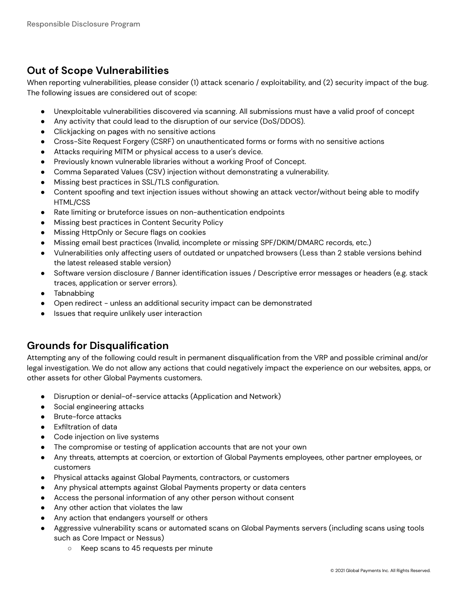## **Out of Scope Vulnerabilities**

When reporting vulnerabilities, please consider (1) attack scenario / exploitability, and (2) security impact of the bug. The following issues are considered out of scope:

- Unexploitable vulnerabilities discovered via scanning. All submissions must have a valid proof of concept
- Any activity that could lead to the disruption of our service (DoS/DDOS).
- Clickjacking on pages with no sensitive actions
- Cross-Site Request Forgery (CSRF) on unauthenticated forms or forms with no sensitive actions
- Attacks requiring MITM or physical access to a user's device.
- Previously known vulnerable libraries without a working Proof of Concept.
- Comma Separated Values (CSV) injection without demonstrating a vulnerability.
- Missing best practices in SSL/TLS configuration.
- Content spoofing and text injection issues without showing an attack vector/without being able to modify HTML/CSS
- Rate limiting or bruteforce issues on non-authentication endpoints
- Missing best practices in Content Security Policy
- Missing HttpOnly or Secure flags on cookies
- Missing email best practices (Invalid, incomplete or missing SPF/DKIM/DMARC records, etc.)
- Vulnerabilities only affecting users of outdated or unpatched browsers (Less than 2 stable versions behind the latest released stable version)
- Software version disclosure / Banner identification issues / Descriptive error messages or headers (e.g. stack traces, application or server errors).
- Tabnabbing
- Open redirect unless an additional security impact can be demonstrated
- Issues that require unlikely user interaction

## **Grounds for Disqualification**

Attempting any of the following could result in permanent disqualification from the VRP and possible criminal and/or legal investigation. We do not allow any actions that could negatively impact the experience on our websites, apps, or other assets for other Global Payments customers.

- Disruption or denial-of-service attacks (Application and Network)
- Social engineering attacks
- Brute-force attacks
- Exfiltration of data
- Code injection on live systems
- The compromise or testing of application accounts that are not your own
- Any threats, attempts at coercion, or extortion of Global Payments employees, other partner employees, or customers
- Physical attacks against Global Payments, contractors, or customers
- Any physical attempts against Global Payments property or data centers
- Access the personal information of any other person without consent
- Any other action that violates the law
- Any action that endangers yourself or others
- Aggressive vulnerability scans or automated scans on Global Payments servers (including scans using tools such as Core Impact or Nessus)
	- Keep scans to 45 requests per minute